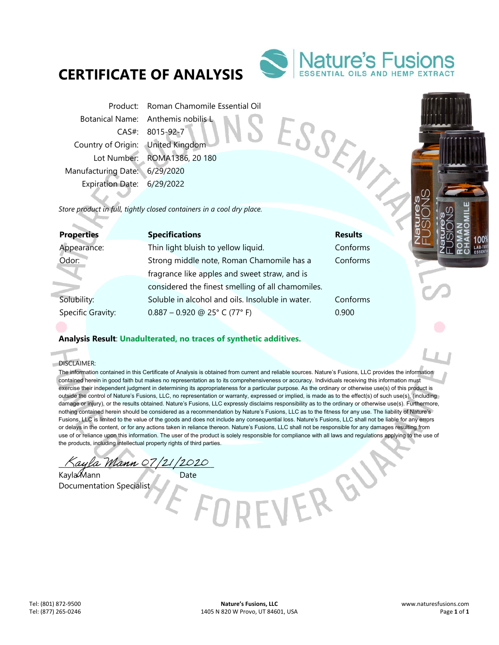# **CERTIFICATE OF ANALYSIS**



ESSEN

EVEREN

Product: Roman Chamomile Essential Oil Botanical Name: Anthemis nobilis L Country of Origin: United Kingdom Manufacturing Date: 6/29/2020 Expiration Date: 6/29/2022

CAS#: 8015-92-7 Lot Number: ROMA1386, 20 180

*Store product in full, tightly closed containers in a cool dry place.* 

| <b>Properties</b> | <b>Specifications</b>                             | <b>Results</b> |
|-------------------|---------------------------------------------------|----------------|
| Appearance:       | Thin light bluish to yellow liquid.               | Conforms       |
| Odor:             | Strong middle note, Roman Chamomile has a         | Conforms       |
|                   | fragrance like apples and sweet straw, and is     |                |
|                   | considered the finest smelling of all chamomiles. |                |
| Solubility:       | Soluble in alcohol and oils. Insoluble in water.  | Conforms       |
| Specific Gravity: | $0.887 - 0.920$ @ 25° C (77° F)                   | 0.900          |
|                   |                                                   |                |

## **Analysis Result**: **Unadulterated, no traces of synthetic additives.**

DISCLAIMER:

a.

The information contained in this Certificate of Analysis is obtained from current and reliable sources. Nature's Fusions, LLC provides the information contained herein in good faith but makes no representation as to its comprehensiveness or accuracy. Individuals receiving this information must exercise their independent judgment in determining its appropriateness for a particular purpose. As the ordinary or otherwise use(s) of this product is outside the control of Nature's Fusions, LLC, no representation or warranty, expressed or implied, is made as to the effect(s) of such use(s), (including damage or injury), or the results obtained. Nature's Fusions, LLC expressly disclaims responsibility as to the ordinary or otherwise use(s). Furthermore, nothing contained herein should be considered as a recommendation by Nature's Fusions, LLC as to the fitness for any use. The liability of Nature's Fusions, LLC is limited to the value of the goods and does not include any consequential loss. Nature's Fusions, LLC shall not be liable for any errors or delays in the content, or for any actions taken in reliance thereon. Nature's Fusions, LLC shall not be responsible for any damages resulting from use of or reliance upon this information. The user of the product is solely responsible for compliance with all laws and regulations applying to the use of the products, including intellectual property rights of third parties.

ayla Mann 07/21/2020

Kayla Mann Date Documentation Specialist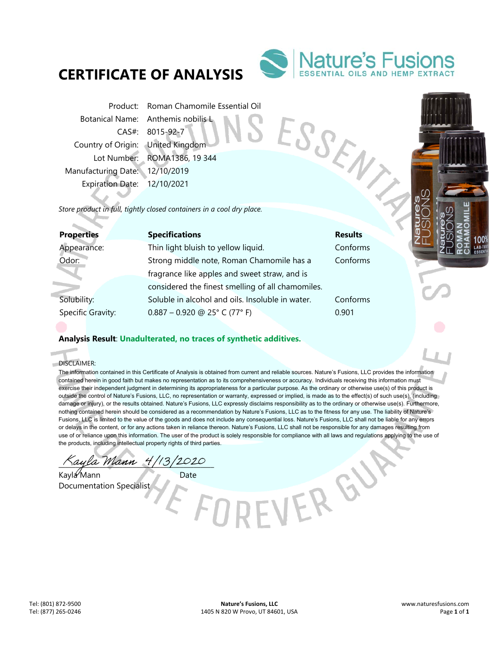# **CERTIFICATE OF ANALYSIS**



ESSENT

Product: Roman Chamomile Essential Oil Botanical Name: Anthemis nobilis L Country of Origin: United Kingdom Manufacturing Date: 12/10/2019 Expiration Date: 12/10/2021

CAS#: 8015-92-7 Lot Number: ROMA1386, 19 344

*Store product in full, tightly closed containers in a cool dry place.* 

| <b>Properties</b> | <b>Specifications</b>                             | <b>Results</b> |
|-------------------|---------------------------------------------------|----------------|
| Appearance:       | Thin light bluish to yellow liquid.               | Conforms       |
| Odor:             | Strong middle note, Roman Chamomile has a         | Conforms       |
|                   | fragrance like apples and sweet straw, and is     |                |
|                   | considered the finest smelling of all chamomiles. |                |
| Solubility:       | Soluble in alcohol and oils. Insoluble in water.  | Conforms       |
| Specific Gravity: | $0.887 - 0.920$ @ 25° C (77° F)                   | 0.901          |
|                   |                                                   |                |

## **Analysis Result**: **Unadulterated, no traces of synthetic additives.**

DISCLAIMER:

× d.

> The information contained in this Certificate of Analysis is obtained from current and reliable sources. Nature's Fusions, LLC provides the information contained herein in good faith but makes no representation as to its comprehensiveness or accuracy. Individuals receiving this information must exercise their independent judgment in determining its appropriateness for a particular purpose. As the ordinary or otherwise use(s) of this product is outside the control of Nature's Fusions, LLC, no representation or warranty, expressed or implied, is made as to the effect(s) of such use(s), (including damage or injury), or the results obtained. Nature's Fusions, LLC expressly disclaims responsibility as to the ordinary or otherwise use(s). Furthermore, nothing contained herein should be considered as a recommendation by Nature's Fusions, LLC as to the fitness for any use. The liability of Nature's Fusions, LLC is limited to the value of the goods and does not include any consequential loss. Nature's Fusions, LLC shall not be liable for any errors or delays in the content, or for any actions taken in reliance thereon. Nature's Fusions, LLC shall not be responsible for any damages resulting from use of or reliance upon this information. The user of the product is solely responsible for compliance with all laws and regulations applying to the use of the products, including intellectual property rights of third parties.

> > EVER GY

ayla Mann 4/13/2020

Kayla Mann Date Documentation Specialist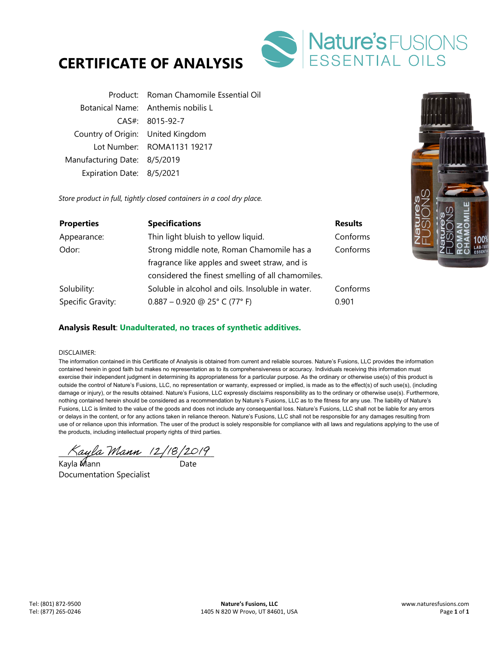



|                                   | Product: Roman Chamomile Essential Oil |
|-----------------------------------|----------------------------------------|
|                                   | Botanical Name: Anthemis nobilis L     |
|                                   | $CAS#$ : 8015-92-7                     |
| Country of Origin: United Kingdom |                                        |
|                                   | Lot Number: ROMA1131 19217             |
| Manufacturing Date: 8/5/2019      |                                        |
| Expiration Date: 8/5/2021         |                                        |

*Store product in full, tightly closed containers in a cool dry place.* 

| <b>Properties</b> | <b>Specifications</b>                             | <b>Results</b> |
|-------------------|---------------------------------------------------|----------------|
| Appearance:       | Thin light bluish to yellow liquid.               | Conforms       |
| Odor:             | Strong middle note, Roman Chamomile has a         | Conforms       |
|                   | fragrance like apples and sweet straw, and is     |                |
|                   | considered the finest smelling of all chamomiles. |                |
| Solubility:       | Soluble in alcohol and oils. Insoluble in water.  | Conforms       |
| Specific Gravity: | $0.887 - 0.920$ @ 25° C (77° F)                   | 0.901          |

## **Analysis Result**: **Unadulterated, no traces of synthetic additives.**

#### DISCLAIMER:

The information contained in this Certificate of Analysis is obtained from current and reliable sources. Nature's Fusions, LLC provides the information contained herein in good faith but makes no representation as to its comprehensiveness or accuracy. Individuals receiving this information must exercise their independent judgment in determining its appropriateness for a particular purpose. As the ordinary or otherwise use(s) of this product is outside the control of Nature's Fusions, LLC, no representation or warranty, expressed or implied, is made as to the effect(s) of such use(s), (including damage or injury), or the results obtained. Nature's Fusions, LLC expressly disclaims responsibility as to the ordinary or otherwise use(s). Furthermore, nothing contained herein should be considered as a recommendation by Nature's Fusions, LLC as to the fitness for any use. The liability of Nature's Fusions, LLC is limited to the value of the goods and does not include any consequential loss. Nature's Fusions, LLC shall not be liable for any errors or delays in the content, or for any actions taken in reliance thereon. Nature's Fusions, LLC shall not be responsible for any damages resulting from use of or reliance upon this information. The user of the product is solely responsible for compliance with all laws and regulations applying to the use of the products, including intellectual property rights of third parties.

 $\land$ ayla Mann (2/18/2019)

Kayla Mann Date Documentation Specialist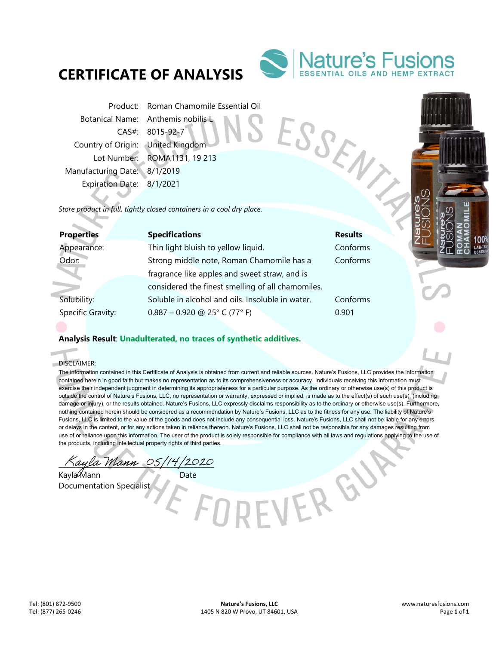# **CERTIFICATE OF ANALYSIS**



ESSENT

Product: Roman Chamomile Essential Oil Botanical Name: Anthemis nobilis L CAS#: 8015-92-7 Country of Origin: United Kingdom Manufacturing Date: 8/1/2019 Expiration Date: 8/1/2021

Lot Number: ROMA1131, 19 213

*Store product in full, tightly closed containers in a cool dry place.* 

| <b>Properties</b> | <b>Specifications</b>                             | <b>Results</b> |
|-------------------|---------------------------------------------------|----------------|
| Appearance:       | Thin light bluish to yellow liquid.               | Conforms       |
| Odor:             | Strong middle note, Roman Chamomile has a         | Conforms       |
|                   | fragrance like apples and sweet straw, and is     |                |
|                   | considered the finest smelling of all chamomiles. |                |
| Solubility:       | Soluble in alcohol and oils. Insoluble in water.  | Conforms       |
| Specific Gravity: | $0.887 - 0.920$ @ 25° C (77° F)                   | 0.901          |
|                   |                                                   |                |

## **Analysis Result**: **Unadulterated, no traces of synthetic additives.**

DISCLAIMER:

Î. d.

> The information contained in this Certificate of Analysis is obtained from current and reliable sources. Nature's Fusions, LLC provides the information contained herein in good faith but makes no representation as to its comprehensiveness or accuracy. Individuals receiving this information must exercise their independent judgment in determining its appropriateness for a particular purpose. As the ordinary or otherwise use(s) of this product is outside the control of Nature's Fusions, LLC, no representation or warranty, expressed or implied, is made as to the effect(s) of such use(s), (including damage or injury), or the results obtained. Nature's Fusions, LLC expressly disclaims responsibility as to the ordinary or otherwise use(s). Furthermore, nothing contained herein should be considered as a recommendation by Nature's Fusions, LLC as to the fitness for any use. The liability of Nature's Fusions, LLC is limited to the value of the goods and does not include any consequential loss. Nature's Fusions, LLC shall not be liable for any errors or delays in the content, or for any actions taken in reliance thereon. Nature's Fusions, LLC shall not be responsible for any damages resulting from use of or reliance upon this information. The user of the product is solely responsible for compliance with all laws and regulations applying to the use of the products, including intellectual property rights of third parties.

> > EVEREN

 $\%$ ayla Mann 05/14/2020

Kayla Mann Date Documentation Specialist